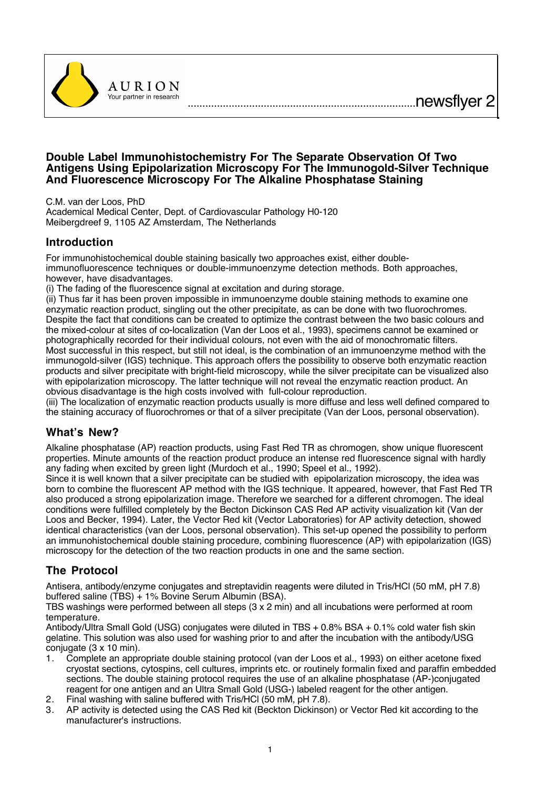



C.M. van der Loos, PhD

**AURION** 

Academical Medical Center, Dept. of Cardiovascular Pathology H0-120 Meibergdreef 9, 1105 AZ Amsterdam, The Netherlands

## **Introduction**

For immunohistochemical double staining basically two approaches exist, either doubleimmunofluorescence techniques or double-immunoenzyme detection methods. Both approaches, however, have disadvantages.

(i) The fading of the fluorescence signal at excitation and during storage.

(ii) Thus far it has been proven impossible in immunoenzyme double staining methods to examine one enzymatic reaction product, singling out the other precipitate, as can be done with two fluorochromes. Despite the fact that conditions can be created to optimize the contrast between the two basic colours and the mixed-colour at sites of co-localization (Van der Loos et al., 1993), specimens cannot be examined or photographically recorded for their individual colours, not even with the aid of monochromatic filters. Most successful in this respect, but still not ideal, is the combination of an immunoenzyme method with the immunogold-silver (IGS) technique. This approach offers the possibility to observe both enzymatic reaction products and silver precipitate with bright-field microscopy, while the silver precipitate can be visualized also with epipolarization microscopy. The latter technique will not reveal the enzymatic reaction product. An obvious disadvantage is the high costs involved with full-colour reproduction.

(iii) The localization of enzymatic reaction products usually is more diffuse and less well defined compared to the staining accuracy of fluorochromes or that of a silver precipitate (Van der Loos, personal observation).

## **What's New?**

Alkaline phosphatase (AP) reaction products, using Fast Red TR as chromogen, show unique fluorescent properties. Minute amounts of the reaction product produce an intense red fluorescence signal with hardly any fading when excited by green light (Murdoch et al., 1990; Speel et al., 1992).

Since it is well known that a silver precipitate can be studied with epipolarization microscopy, the idea was born to combine the fluorescent AP method with the IGS technique. It appeared, however, that Fast Red TR also produced a strong epipolarization image. Therefore we searched for a different chromogen. The ideal conditions were fulfilled completely by the Becton Dickinson CAS Red AP activity visualization kit (Van der Loos and Becker, 1994). Later, the Vector Red kit (Vector Laboratories) for AP activity detection, showed identical characteristics (van der Loos, personal observation). This set-up opened the possibility to perform an immunohistochemical double staining procedure, combining fluorescence (AP) with epipolarization (IGS) microscopy for the detection of the two reaction products in one and the same section.

## **The Protocol**

Antisera, antibody/enzyme conjugates and streptavidin reagents were diluted in Tris/HCl (50 mM, pH 7.8) buffered saline (TBS) + 1% Bovine Serum Albumin (BSA).

TBS washings were performed between all steps (3 x 2 min) and all incubations were performed at room temperature.

Antibody/Ultra Small Gold (USG) conjugates were diluted in TBS + 0.8% BSA + 0.1% cold water fish skin gelatine. This solution was also used for washing prior to and after the incubation with the antibody/USG conjugate (3 x 10 min).

- 1. Complete an appropriate double staining protocol (van der Loos et al., 1993) on either acetone fixed cryostat sections, cytospins, cell cultures, imprints etc. or routinely formalin fixed and paraffin embedded sections. The double staining protocol requires the use of an alkaline phosphatase (AP-)conjugated reagent for one antigen and an Ultra Small Gold (USG-) labeled reagent for the other antigen.
- 2. Final washing with saline buffered with Tris/HCl (50 mM, pH 7.8).
- 3. AP activity is detected using the CAS Red kit (Beckton Dickinson) or Vector Red kit according to the manufacturer's instructions.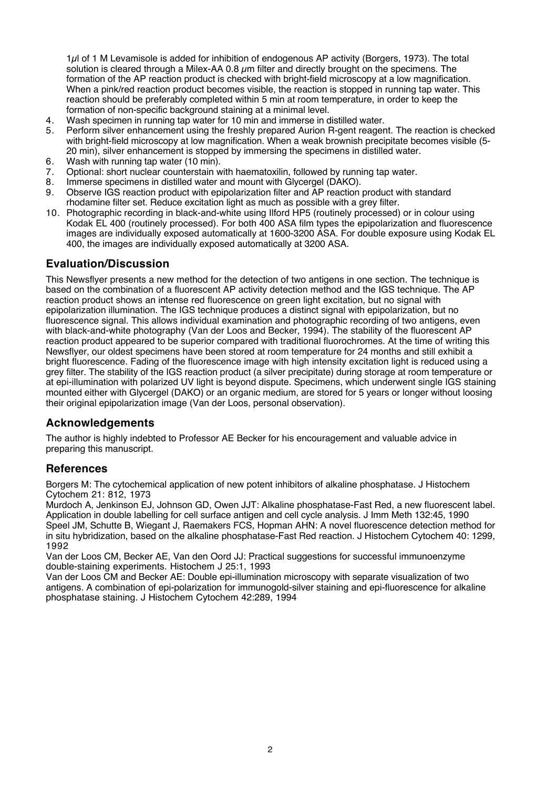1µl of 1 M Levamisole is added for inhibition of endogenous AP activity (Borgers, 1973). The total solution is cleared through a Milex-AA 0.8  $\mu$ m filter and directly brought on the specimens. The formation of the AP reaction product is checked with bright-field microscopy at a low magnification. When a pink/red reaction product becomes visible, the reaction is stopped in running tap water. This reaction should be preferably completed within 5 min at room temperature, in order to keep the formation of non-specific background staining at a minimal level.

- 4. Wash specimen in running tap water for 10 min and immerse in distilled water.
- 5. Perform silver enhancement using the freshly prepared Aurion R-gent reagent. The reaction is checked with bright-field microscopy at low magnification. When a weak brownish precipitate becomes visible (5- 20 min), silver enhancement is stopped by immersing the specimens in distilled water.
- 6. Wash with running tap water (10 min).<br>7. Optional: short nuclear counterstain w
- 7. Optional: short nuclear counterstain with haematoxilin, followed by running tap water.<br>8. Immerse specimens in distilled water and mount with Glycergel (DAKO).
- 8. Immerse specimens in distilled water and mount with Glycergel (DAKO).<br>9. Observe IGS reaction product with epipolarization filter and AP reaction
- 9. Observe IGS reaction product with epipolarization filter and AP reaction product with standard rhodamine filter set. Reduce excitation light as much as possible with a grey filter.
- 10. Photographic recording in black-and-white using Ilford HP5 (routinely processed) or in colour using Kodak EL 400 (routinely processed). For both 400 ASA film types the epipolarization and fluorescence images are individually exposed automatically at 1600-3200 ASA. For double exposure using Kodak EL 400, the images are individually exposed automatically at 3200 ASA.

## **Evaluation/Discussion**

This Newsflyer presents a new method for the detection of two antigens in one section. The technique is based on the combination of a fluorescent AP activity detection method and the IGS technique. The AP reaction product shows an intense red fluorescence on green light excitation, but no signal with epipolarization illumination. The IGS technique produces a distinct signal with epipolarization, but no fluorescence signal. This allows individual examination and photographic recording of two antigens, even with black-and-white photography (Van der Loos and Becker, 1994). The stability of the fluorescent AP reaction product appeared to be superior compared with traditional fluorochromes. At the time of writing this Newsflyer, our oldest specimens have been stored at room temperature for 24 months and still exhibit a bright fluorescence. Fading of the fluorescence image with high intensity excitation light is reduced using a grey filter. The stability of the IGS reaction product (a silver precipitate) during storage at room temperature or at epi-illumination with polarized UV light is beyond dispute. Specimens, which underwent single IGS staining mounted either with Glycergel (DAKO) or an organic medium, are stored for 5 years or longer without loosing their original epipolarization image (Van der Loos, personal observation).

## **Acknowledgements**

The author is highly indebted to Professor AE Becker for his encouragement and valuable advice in preparing this manuscript.

## **References**

Borgers M: The cytochemical application of new potent inhibitors of alkaline phosphatase. J Histochem Cytochem 21: 812, 1973

Murdoch A, Jenkinson EJ, Johnson GD, Owen JJT: Alkaline phosphatase-Fast Red, a new fluorescent label. Application in double labelling for cell surface antigen and cell cycle analysis. J Imm Meth 132:45, 1990 Speel JM, Schutte B, Wiegant J, Raemakers FCS, Hopman AHN: A novel fluorescence detection method for in situ hybridization, based on the alkaline phosphatase-Fast Red reaction. J Histochem Cytochem 40: 1299, 1992

Van der Loos CM, Becker AE, Van den Oord JJ: Practical suggestions for successful immunoenzyme double-staining experiments. Histochem J 25:1, 1993

Van der Loos CM and Becker AE: Double epi-illumination microscopy with separate visualization of two antigens. A combination of epi-polarization for immunogold-silver staining and epi-fluorescence for alkaline phosphatase staining. J Histochem Cytochem 42:289, 1994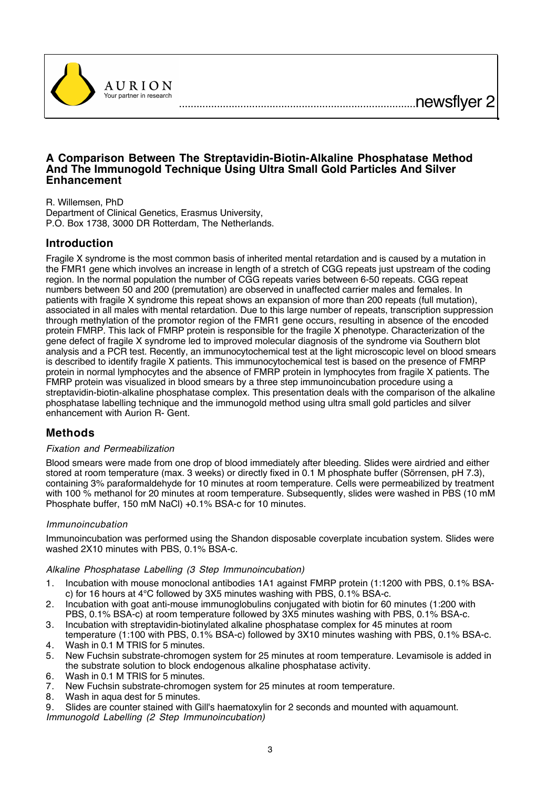..................................................................................newsflyer 2



## **A Comparison Between The Streptavidin-Biotin-Alkaline Phosphatase Method And The Immunogold Technique Using Ultra Small Gold Particles And Silver Enhancement**

R. Willemsen, PhD

Department of Clinical Genetics, Erasmus University, P.O. Box 1738, 3000 DR Rotterdam, The Netherlands.

## **Introduction**

Fragile X syndrome is the most common basis of inherited mental retardation and is caused by a mutation in the FMR1 gene which involves an increase in length of a stretch of CGG repeats just upstream of the coding region. In the normal population the number of CGG repeats varies between 6-50 repeats. CGG repeat numbers between 50 and 200 (premutation) are observed in unaffected carrier males and females. In patients with fragile X syndrome this repeat shows an expansion of more than 200 repeats (full mutation), associated in all males with mental retardation. Due to this large number of repeats, transcription suppression through methylation of the promotor region of the FMR1 gene occurs, resulting in absence of the encoded protein FMRP. This lack of FMRP protein is responsible for the fragile X phenotype. Characterization of the gene defect of fragile X syndrome led to improved molecular diagnosis of the syndrome via Southern blot analysis and a PCR test. Recently, an immunocytochemical test at the light microscopic level on blood smears is described to identify fragile X patients. This immunocytochemical test is based on the presence of FMRP protein in normal lymphocytes and the absence of FMRP protein in lymphocytes from fragile X patients. The FMRP protein was visualized in blood smears by a three step immunoincubation procedure using a streptavidin-biotin-alkaline phosphatase complex. This presentation deals with the comparison of the alkaline phosphatase labelling technique and the immunogold method using ultra small gold particles and silver enhancement with Aurion R- Gent.

## **Methods**

## Fixation and Permeabilization

Blood smears were made from one drop of blood immediately after bleeding. Slides were airdried and either stored at room temperature (max. 3 weeks) or directly fixed in 0.1 M phosphate buffer (Sörrensen, pH 7.3), containing 3% paraformaldehyde for 10 minutes at room temperature. Cells were permeabilized by treatment with 100 % methanol for 20 minutes at room temperature. Subsequently, slides were washed in PBS (10 mM Phosphate buffer, 150 mM NaCl) +0.1% BSA-c for 10 minutes.

#### Immunoincubation

Immunoincubation was performed using the Shandon disposable coverplate incubation system. Slides were washed 2X10 minutes with PBS, 0.1% BSA-c.

#### Alkaline Phosphatase Labelling (3 Step Immunoincubation)

- 1. Incubation with mouse monoclonal antibodies 1A1 against FMRP protein (1:1200 with PBS, 0.1% BSAc) for 16 hours at 4°C followed by 3X5 minutes washing with PBS, 0.1% BSA-c.
- 2. Incubation with goat anti-mouse immunoglobulins conjugated with biotin for 60 minutes (1:200 with PBS, 0.1% BSA-c) at room temperature followed by 3X5 minutes washing with PBS, 0.1% BSA-c.
- 3. Incubation with streptavidin-biotinylated alkaline phosphatase complex for 45 minutes at room temperature (1:100 with PBS, 0.1% BSA-c) followed by 3X10 minutes washing with PBS, 0.1% BSA-c.
- 4. Wash in 0.1 M TRIS for 5 minutes.
- 5. New Fuchsin substrate-chromogen system for 25 minutes at room temperature. Levamisole is added in the substrate solution to block endogenous alkaline phosphatase activity.
- 6. Wash in 0.1 M TRIS for 5 minutes.<br>7. New Fuchsin substrate-chromoge
- 7. New Fuchsin substrate-chromogen system for 25 minutes at room temperature.
- Wash in aqua dest for 5 minutes.

9. Slides are counter stained with Gill's haematoxylin for 2 seconds and mounted with aquamount. Immunogold Labelling (2 Step Immunoincubation)